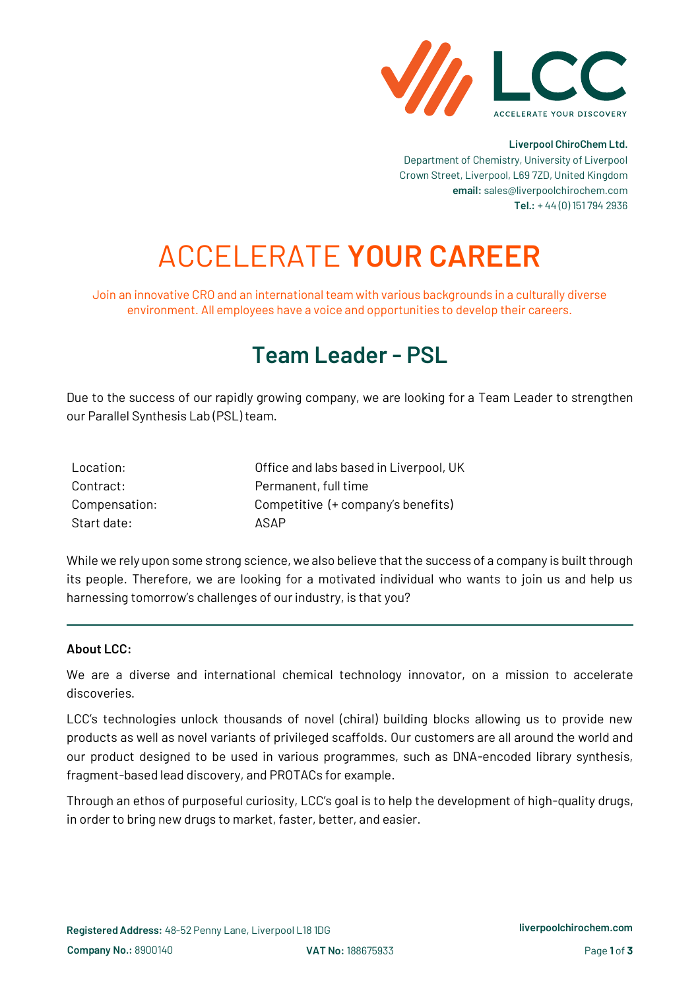

#### **Liverpool ChiroChem Ltd.**

Department of Chemistry, University of Liverpool Crown Street, Liverpool, L69 7ZD, United Kingdom **email:** sales@liverpoolchirochem.com **Tel.:** + 44 (0) 151 794 2936

# ACCELERATE **YOUR CAREER**

Join an innovative CRO and an international team with various backgrounds in a culturally diverse environment. All employees have a voice and opportunities to develop their careers.

## **Team Leader - PSL**

Due to the success of our rapidly growing company, we are looking for a Team Leader to strengthen our Parallel Synthesis Lab (PSL) team.

| Location:     | Office and labs based in Liverpool, UK |
|---------------|----------------------------------------|
| Contract:     | Permanent, full time                   |
| Compensation: | Competitive (+ company's benefits)     |
| Start date:   | ASAP                                   |

While we rely upon some strong science, we also believe that the success of a company is built through its people. Therefore, we are looking for a motivated individual who wants to join us and help us harnessing tomorrow's challenges of our industry, is that you?

#### **About LCC:**

We are a diverse and international chemical technology innovator, on a mission to accelerate discoveries.

LCC's technologies unlock thousands of novel (chiral) building blocks allowing us to provide new products as well as novel variants of privileged scaffolds. Our customers are all around the world and our product designed to be used in various programmes, such as DNA-encoded library synthesis, fragment-based lead discovery, and PROTACs for example.

Through an ethos of purposeful curiosity, LCC's goal is to help the development of high-quality drugs, in order to bring new drugs to market, faster, better, and easier.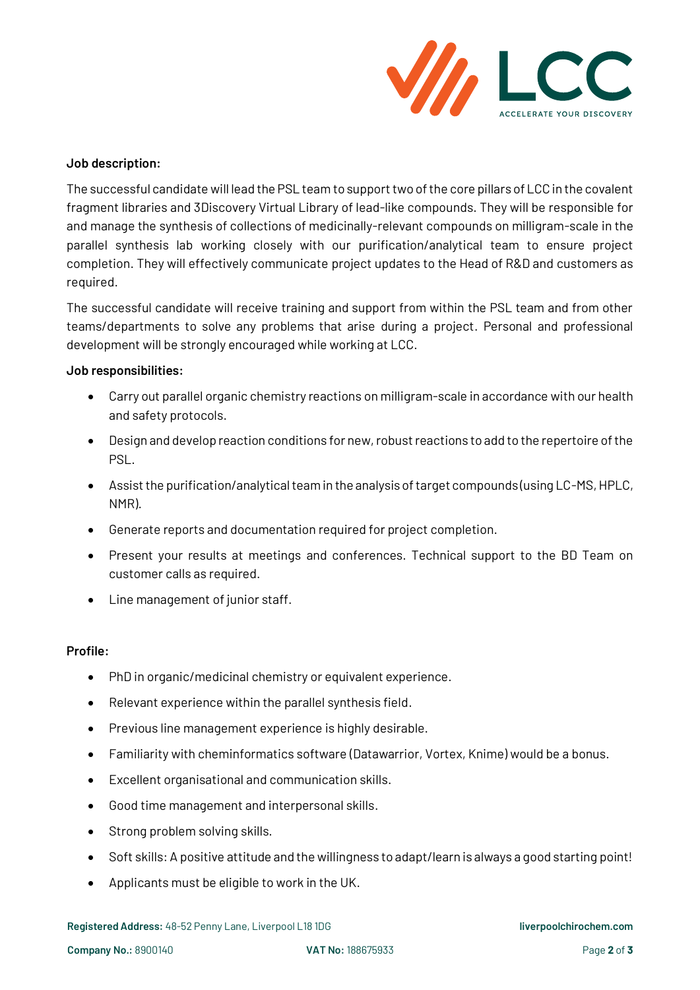

### **Job description:**

The successful candidate will lead the PSL team to support two of the core pillars of LCC in the covalent fragment libraries and 3Discovery Virtual Library of lead-like compounds. They will be responsible for and manage the synthesis of collections of medicinally-relevant compounds on milligram-scale in the parallel synthesis lab working closely with our purification/analytical team to ensure project completion. They will effectively communicate project updates to the Head of R&D and customers as required.

The successful candidate will receive training and support from within the PSL team and from other teams/departments to solve any problems that arise during a project. Personal and professional development will be strongly encouraged while working at LCC.

### **Job responsibilities:**

- Carry out parallel organic chemistry reactions on milligram-scale in accordance with our health and safety protocols.
- Design and develop reaction conditions for new, robust reactions to add to the repertoire of the PSL.
- Assist the purification/analytical team in the analysis of target compounds (using LC-MS, HPLC, NMR).
- Generate reports and documentation required for project completion.
- Present your results at meetings and conferences. Technical support to the BD Team on customer calls as required.
- Line management of junior staff.

#### **Profile:**

- PhD in organic/medicinal chemistry or equivalent experience.
- Relevant experience within the parallel synthesis field.
- Previous line management experience is highly desirable.
- Familiarity with cheminformatics software (Datawarrior, Vortex, Knime) would be a bonus.
- Excellent organisational and communication skills.
- Good time management and interpersonal skills.
- Strong problem solving skills.
- Soft skills: A positive attitude and the willingness to adapt/learn is always a good starting point!
- Applicants must be eligible to work in the UK.